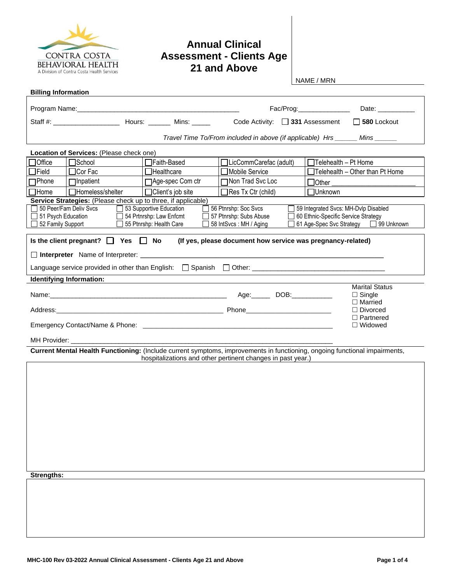

## **Annual Clinical Assessment - Clients Age 21 and Above**

NAME / MRN

| <b>Billing Information</b>                                                                                                                                                                                                                                                                                                                                                                                                      |                                                                                                                                                                                                                                |                     |                                                                                                                            |                                        |                                        |  |  |  |
|---------------------------------------------------------------------------------------------------------------------------------------------------------------------------------------------------------------------------------------------------------------------------------------------------------------------------------------------------------------------------------------------------------------------------------|--------------------------------------------------------------------------------------------------------------------------------------------------------------------------------------------------------------------------------|---------------------|----------------------------------------------------------------------------------------------------------------------------|----------------------------------------|----------------------------------------|--|--|--|
|                                                                                                                                                                                                                                                                                                                                                                                                                                 |                                                                                                                                                                                                                                |                     |                                                                                                                            | Fac/Prog:_________________             | Date: __________                       |  |  |  |
|                                                                                                                                                                                                                                                                                                                                                                                                                                 |                                                                                                                                                                                                                                |                     | Code Activity: $\Box$ 331 Assessment                                                                                       |                                        | $\Box$ 580 Lockout                     |  |  |  |
|                                                                                                                                                                                                                                                                                                                                                                                                                                 | Travel Time To/From included in above (if applicable) Hrs ______ Mins ______                                                                                                                                                   |                     |                                                                                                                            |                                        |                                        |  |  |  |
|                                                                                                                                                                                                                                                                                                                                                                                                                                 | Location of Services: (Please check one)                                                                                                                                                                                       |                     |                                                                                                                            |                                        |                                        |  |  |  |
| <b>Office</b>                                                                                                                                                                                                                                                                                                                                                                                                                   | <b>M</b> School                                                                                                                                                                                                                | □Faith-Based        | □LicCommCarefac (adult)                                                                                                    |                                        | $\Box$ Telehealth - Pt Home            |  |  |  |
| $\exists$ Field                                                                                                                                                                                                                                                                                                                                                                                                                 | $\Box$ Cor Fac                                                                                                                                                                                                                 | $\Box$ Healthcare   | □ Mobile Service                                                                                                           |                                        | $\Box$ Telehealth - Other than Pt Home |  |  |  |
| <b>T</b> Phone                                                                                                                                                                                                                                                                                                                                                                                                                  | $\Box$ Inpatient                                                                                                                                                                                                               | □ Age-spec Com ctr  | □Non Trad Svc Loc                                                                                                          | $\Box$ Other                           |                                        |  |  |  |
| <b>1Home</b>                                                                                                                                                                                                                                                                                                                                                                                                                    | <b>□</b> Homeless/shelter                                                                                                                                                                                                      | □ Client's job site | $\Box$ Res Tx Ctr (child)                                                                                                  | $\Box$ Unknown                         |                                        |  |  |  |
| Service Strategies: (Please check up to three, if applicable)<br>50 Peer/Fam Deliv Svcs<br>53 Supportive Education<br>56 Ptnrshp: Soc Svcs<br>59 Integrated Svcs: MH-Dvlp Disabled<br>51 Psych Education<br>54 Prtnrshp: Law Enfcmt<br>57 Ptnrshp: Subs Abuse<br>60 Ethnic-Specific Service Strategy<br>52 Family Support<br>55 Ptnrshp: Health Care<br>61 Age-Spec Svc Strategy $\Box$<br>99 Unknown<br>58 IntSvcs: MH / Aging |                                                                                                                                                                                                                                |                     |                                                                                                                            |                                        |                                        |  |  |  |
| Is the client pregnant? $\Box$ Yes $\Box$ No<br>(If yes, please document how service was pregnancy-related)                                                                                                                                                                                                                                                                                                                     |                                                                                                                                                                                                                                |                     |                                                                                                                            |                                        |                                        |  |  |  |
|                                                                                                                                                                                                                                                                                                                                                                                                                                 |                                                                                                                                                                                                                                |                     |                                                                                                                            |                                        |                                        |  |  |  |
|                                                                                                                                                                                                                                                                                                                                                                                                                                 |                                                                                                                                                                                                                                |                     |                                                                                                                            |                                        |                                        |  |  |  |
|                                                                                                                                                                                                                                                                                                                                                                                                                                 | Identifying Information:                                                                                                                                                                                                       |                     |                                                                                                                            |                                        |                                        |  |  |  |
|                                                                                                                                                                                                                                                                                                                                                                                                                                 |                                                                                                                                                                                                                                |                     | Age: DOB: 2008.                                                                                                            | <b>Marital Status</b><br>$\Box$ Single |                                        |  |  |  |
|                                                                                                                                                                                                                                                                                                                                                                                                                                 |                                                                                                                                                                                                                                |                     |                                                                                                                            |                                        | $\Box$ Married                         |  |  |  |
|                                                                                                                                                                                                                                                                                                                                                                                                                                 |                                                                                                                                                                                                                                |                     |                                                                                                                            |                                        | $\Box$ Divorced<br>$\Box$ Partnered    |  |  |  |
|                                                                                                                                                                                                                                                                                                                                                                                                                                 |                                                                                                                                                                                                                                |                     | $\Box$ Widowed                                                                                                             |                                        |                                        |  |  |  |
|                                                                                                                                                                                                                                                                                                                                                                                                                                 | MH Provider: with the control of the control of the control of the control of the control of the control of the control of the control of the control of the control of the control of the control of the control of the contr |                     |                                                                                                                            |                                        |                                        |  |  |  |
|                                                                                                                                                                                                                                                                                                                                                                                                                                 |                                                                                                                                                                                                                                |                     | Current Mental Health Functioning: (Include current symptoms, improvements in functioning, ongoing functional impairments, |                                        |                                        |  |  |  |
|                                                                                                                                                                                                                                                                                                                                                                                                                                 |                                                                                                                                                                                                                                |                     | hospitalizations and other pertinent changes in past year.)                                                                |                                        |                                        |  |  |  |
|                                                                                                                                                                                                                                                                                                                                                                                                                                 |                                                                                                                                                                                                                                |                     |                                                                                                                            |                                        |                                        |  |  |  |
|                                                                                                                                                                                                                                                                                                                                                                                                                                 |                                                                                                                                                                                                                                |                     |                                                                                                                            |                                        |                                        |  |  |  |
|                                                                                                                                                                                                                                                                                                                                                                                                                                 |                                                                                                                                                                                                                                |                     |                                                                                                                            |                                        |                                        |  |  |  |
|                                                                                                                                                                                                                                                                                                                                                                                                                                 |                                                                                                                                                                                                                                |                     |                                                                                                                            |                                        |                                        |  |  |  |
|                                                                                                                                                                                                                                                                                                                                                                                                                                 |                                                                                                                                                                                                                                |                     |                                                                                                                            |                                        |                                        |  |  |  |
|                                                                                                                                                                                                                                                                                                                                                                                                                                 |                                                                                                                                                                                                                                |                     |                                                                                                                            |                                        |                                        |  |  |  |
|                                                                                                                                                                                                                                                                                                                                                                                                                                 |                                                                                                                                                                                                                                |                     |                                                                                                                            |                                        |                                        |  |  |  |
|                                                                                                                                                                                                                                                                                                                                                                                                                                 |                                                                                                                                                                                                                                |                     |                                                                                                                            |                                        |                                        |  |  |  |
|                                                                                                                                                                                                                                                                                                                                                                                                                                 |                                                                                                                                                                                                                                |                     |                                                                                                                            |                                        |                                        |  |  |  |
|                                                                                                                                                                                                                                                                                                                                                                                                                                 |                                                                                                                                                                                                                                |                     |                                                                                                                            |                                        |                                        |  |  |  |
| <b>Strengths:</b>                                                                                                                                                                                                                                                                                                                                                                                                               |                                                                                                                                                                                                                                |                     |                                                                                                                            |                                        |                                        |  |  |  |
|                                                                                                                                                                                                                                                                                                                                                                                                                                 |                                                                                                                                                                                                                                |                     |                                                                                                                            |                                        |                                        |  |  |  |
|                                                                                                                                                                                                                                                                                                                                                                                                                                 |                                                                                                                                                                                                                                |                     |                                                                                                                            |                                        |                                        |  |  |  |
|                                                                                                                                                                                                                                                                                                                                                                                                                                 |                                                                                                                                                                                                                                |                     |                                                                                                                            |                                        |                                        |  |  |  |
|                                                                                                                                                                                                                                                                                                                                                                                                                                 |                                                                                                                                                                                                                                |                     |                                                                                                                            |                                        |                                        |  |  |  |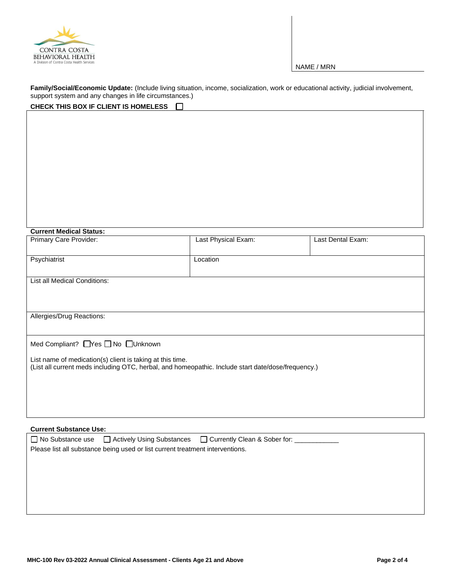

NAME / MRN

**Family/Social/Economic Update:** (Include living situation, income, socialization, work or educational activity, judicial involvement, support system and any changes in life circumstances.)

| CHECK THIS BOX IF CLIENT IS HOMELESS                                                                                                                            |                     |                   |  |  |  |  |
|-----------------------------------------------------------------------------------------------------------------------------------------------------------------|---------------------|-------------------|--|--|--|--|
|                                                                                                                                                                 |                     |                   |  |  |  |  |
|                                                                                                                                                                 |                     |                   |  |  |  |  |
|                                                                                                                                                                 |                     |                   |  |  |  |  |
|                                                                                                                                                                 |                     |                   |  |  |  |  |
|                                                                                                                                                                 |                     |                   |  |  |  |  |
|                                                                                                                                                                 |                     |                   |  |  |  |  |
|                                                                                                                                                                 |                     |                   |  |  |  |  |
| <b>Current Medical Status:</b>                                                                                                                                  |                     |                   |  |  |  |  |
| Primary Care Provider:                                                                                                                                          | Last Physical Exam: | Last Dental Exam: |  |  |  |  |
| Psychiatrist                                                                                                                                                    | Location            |                   |  |  |  |  |
| <b>List all Medical Conditions:</b>                                                                                                                             |                     |                   |  |  |  |  |
|                                                                                                                                                                 |                     |                   |  |  |  |  |
|                                                                                                                                                                 |                     |                   |  |  |  |  |
| Allergies/Drug Reactions:                                                                                                                                       |                     |                   |  |  |  |  |
|                                                                                                                                                                 |                     |                   |  |  |  |  |
| Med Compliant? Nes No Unknown                                                                                                                                   |                     |                   |  |  |  |  |
| List name of medication(s) client is taking at this time.<br>(List all current meds including OTC, herbal, and homeopathic. Include start date/dose/frequency.) |                     |                   |  |  |  |  |
|                                                                                                                                                                 |                     |                   |  |  |  |  |
|                                                                                                                                                                 |                     |                   |  |  |  |  |
|                                                                                                                                                                 |                     |                   |  |  |  |  |

## **Current Substance Use:**

|                                                                               |  | □ No Substance use □ Actively Using Substances □ Currently Clean & Sober for: |  |  |  |  |  |
|-------------------------------------------------------------------------------|--|-------------------------------------------------------------------------------|--|--|--|--|--|
| Please list all substance being used or list current treatment interventions. |  |                                                                               |  |  |  |  |  |
|                                                                               |  |                                                                               |  |  |  |  |  |
|                                                                               |  |                                                                               |  |  |  |  |  |
|                                                                               |  |                                                                               |  |  |  |  |  |
|                                                                               |  |                                                                               |  |  |  |  |  |
|                                                                               |  |                                                                               |  |  |  |  |  |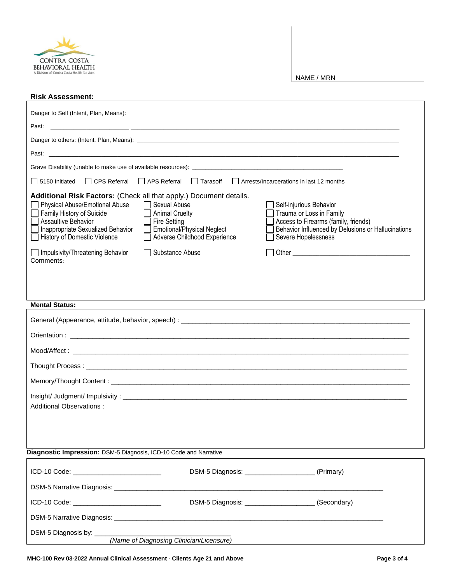

NAME / MRN

| <b>Risk Assessment:</b>                                                                                                                                                                                                                                                                                                                                                                                                                                                                                                                               |  |  |  |  |  |  |  |
|-------------------------------------------------------------------------------------------------------------------------------------------------------------------------------------------------------------------------------------------------------------------------------------------------------------------------------------------------------------------------------------------------------------------------------------------------------------------------------------------------------------------------------------------------------|--|--|--|--|--|--|--|
|                                                                                                                                                                                                                                                                                                                                                                                                                                                                                                                                                       |  |  |  |  |  |  |  |
| Past:<br><u> 1999 - Jan James James James James James James James James James James James James James James James James J</u>                                                                                                                                                                                                                                                                                                                                                                                                                         |  |  |  |  |  |  |  |
|                                                                                                                                                                                                                                                                                                                                                                                                                                                                                                                                                       |  |  |  |  |  |  |  |
|                                                                                                                                                                                                                                                                                                                                                                                                                                                                                                                                                       |  |  |  |  |  |  |  |
|                                                                                                                                                                                                                                                                                                                                                                                                                                                                                                                                                       |  |  |  |  |  |  |  |
| Arrests/Incarcerations in last 12 months<br>$\Box$ CPS Referral<br>$\Box$ APS Referral<br>$\Box$ Tarasoff<br>$\Box$ 5150 Initiated                                                                                                                                                                                                                                                                                                                                                                                                                    |  |  |  |  |  |  |  |
| Additional Risk Factors: (Check all that apply.) Document details.<br>Physical Abuse/Emotional Abuse<br>Sexual Abuse<br>Self-injurious Behavior<br>Family History of Suicide<br>Trauma or Loss in Family<br><b>Animal Cruelty</b><br>Access to Firearms (family, friends)<br><b>Assaultive Behavior</b><br><b>Fire Setting</b><br>Inappropriate Sexualized Behavior<br>Behavior Influenced by Delusions or Hallucinations<br><b>Emotional/Physical Neglect</b><br>History of Domestic Violence<br>Adverse Childhood Experience<br>Severe Hopelessness |  |  |  |  |  |  |  |
| Impulsivity/Threatening Behavior<br>  Substance Abuse<br>Comments:                                                                                                                                                                                                                                                                                                                                                                                                                                                                                    |  |  |  |  |  |  |  |
| <b>Mental Status:</b>                                                                                                                                                                                                                                                                                                                                                                                                                                                                                                                                 |  |  |  |  |  |  |  |
|                                                                                                                                                                                                                                                                                                                                                                                                                                                                                                                                                       |  |  |  |  |  |  |  |
|                                                                                                                                                                                                                                                                                                                                                                                                                                                                                                                                                       |  |  |  |  |  |  |  |
|                                                                                                                                                                                                                                                                                                                                                                                                                                                                                                                                                       |  |  |  |  |  |  |  |
|                                                                                                                                                                                                                                                                                                                                                                                                                                                                                                                                                       |  |  |  |  |  |  |  |
| Thought Process: All the control of the control of the control of the control of the control of the control of                                                                                                                                                                                                                                                                                                                                                                                                                                        |  |  |  |  |  |  |  |
|                                                                                                                                                                                                                                                                                                                                                                                                                                                                                                                                                       |  |  |  |  |  |  |  |
| Additional Observations:                                                                                                                                                                                                                                                                                                                                                                                                                                                                                                                              |  |  |  |  |  |  |  |
| Diagnostic Impression: DSM-5 Diagnosis, ICD-10 Code and Narrative                                                                                                                                                                                                                                                                                                                                                                                                                                                                                     |  |  |  |  |  |  |  |
|                                                                                                                                                                                                                                                                                                                                                                                                                                                                                                                                                       |  |  |  |  |  |  |  |
| (Primary)                                                                                                                                                                                                                                                                                                                                                                                                                                                                                                                                             |  |  |  |  |  |  |  |
|                                                                                                                                                                                                                                                                                                                                                                                                                                                                                                                                                       |  |  |  |  |  |  |  |
| DSM-5 Diagnosis: ________________________(Secondary)                                                                                                                                                                                                                                                                                                                                                                                                                                                                                                  |  |  |  |  |  |  |  |
|                                                                                                                                                                                                                                                                                                                                                                                                                                                                                                                                                       |  |  |  |  |  |  |  |
| DSM-5 Diagnosis by: ____<br>(Name of Diagnosing Clinician/Licensure)                                                                                                                                                                                                                                                                                                                                                                                                                                                                                  |  |  |  |  |  |  |  |